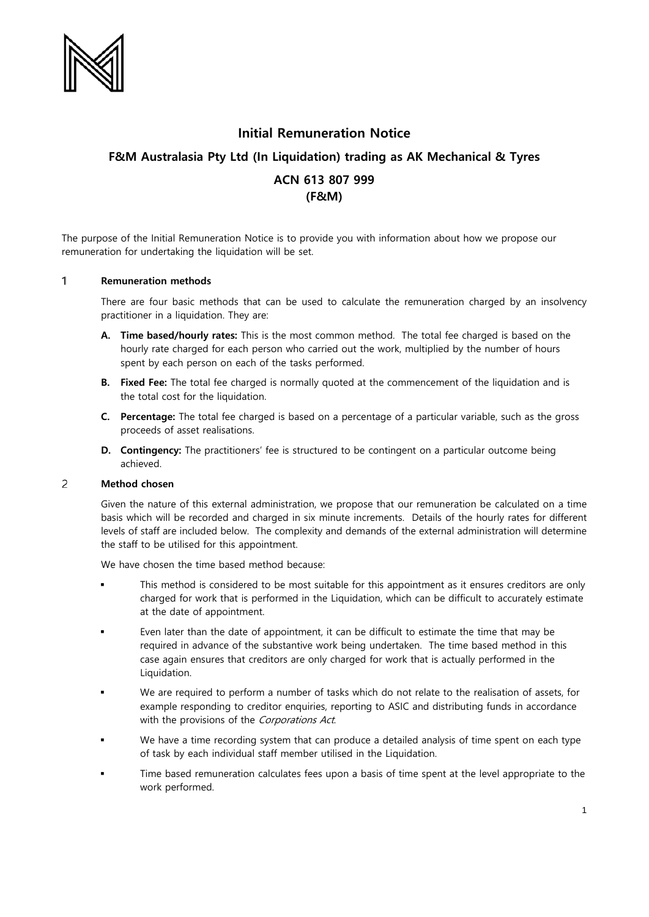

## **Initial Remuneration Notice**

# **F&M Australasia Pty Ltd (In Liquidation) trading as AK Mechanical & Tyres**

## **ACN 613 807 999 (F&M)**

The purpose of the Initial Remuneration Notice is to provide you with information about how we propose our remuneration for undertaking the liquidation will be set.

#### $\mathbf{1}$ **Remuneration methods**

There are four basic methods that can be used to calculate the remuneration charged by an insolvency practitioner in a liquidation. They are:

- **A. Time based/hourly rates:** This is the most common method. The total fee charged is based on the hourly rate charged for each person who carried out the work, multiplied by the number of hours spent by each person on each of the tasks performed.
- **B. Fixed Fee:** The total fee charged is normally quoted at the commencement of the liquidation and is the total cost for the liquidation.
- **C. Percentage:** The total fee charged is based on a percentage of a particular variable, such as the gross proceeds of asset realisations.
- **D. Contingency:** The practitioners' fee is structured to be contingent on a particular outcome being achieved.

#### $\overline{c}$ **Method chosen**

Given the nature of this external administration, we propose that our remuneration be calculated on a time basis which will be recorded and charged in six minute increments. Details of the hourly rates for different levels of staff are included below. The complexity and demands of the external administration will determine the staff to be utilised for this appointment.

We have chosen the time based method because:

- This method is considered to be most suitable for this appointment as it ensures creditors are only charged for work that is performed in the Liquidation, which can be difficult to accurately estimate at the date of appointment.
- Even later than the date of appointment, it can be difficult to estimate the time that may be required in advance of the substantive work being undertaken. The time based method in this case again ensures that creditors are only charged for work that is actually performed in the Liquidation.
- We are required to perform a number of tasks which do not relate to the realisation of assets, for example responding to creditor enquiries, reporting to ASIC and distributing funds in accordance with the provisions of the Corporations Act.
- We have a time recording system that can produce a detailed analysis of time spent on each type of task by each individual staff member utilised in the Liquidation.
- Time based remuneration calculates fees upon a basis of time spent at the level appropriate to the work performed.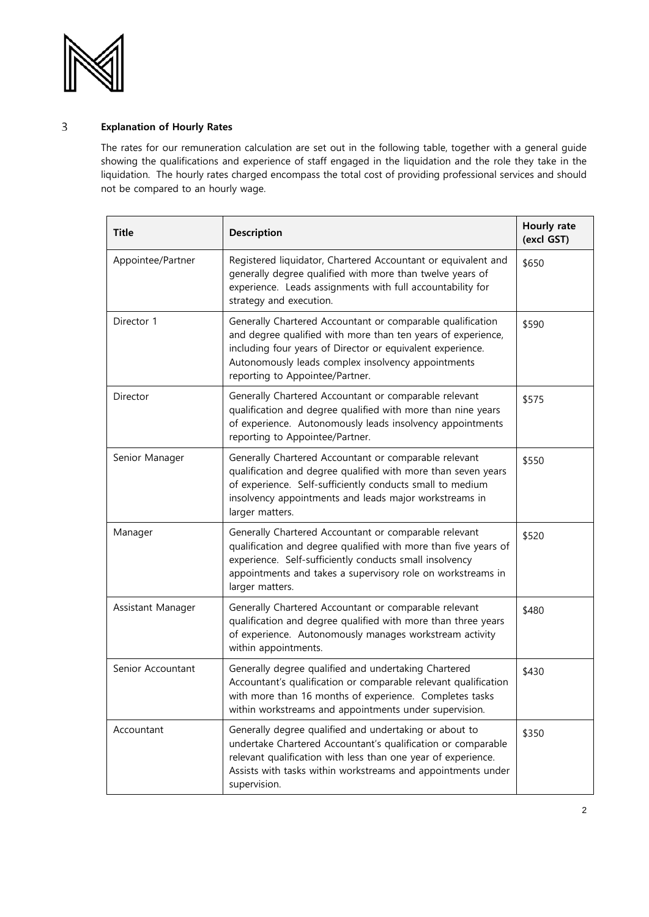

#### $\mathsf{3}$ **Explanation of Hourly Rates**

The rates for our remuneration calculation are set out in the following table, together with a general guide showing the qualifications and experience of staff engaged in the liquidation and the role they take in the liquidation. The hourly rates charged encompass the total cost of providing professional services and should not be compared to an hourly wage.

| <b>Title</b>      | <b>Description</b>                                                                                                                                                                                                                                                                | Hourly rate<br>(excl GST) |
|-------------------|-----------------------------------------------------------------------------------------------------------------------------------------------------------------------------------------------------------------------------------------------------------------------------------|---------------------------|
| Appointee/Partner | Registered liquidator, Chartered Accountant or equivalent and<br>generally degree qualified with more than twelve years of<br>experience. Leads assignments with full accountability for<br>strategy and execution.                                                               | \$650                     |
| Director 1        | Generally Chartered Accountant or comparable qualification<br>and degree qualified with more than ten years of experience,<br>including four years of Director or equivalent experience.<br>Autonomously leads complex insolvency appointments<br>reporting to Appointee/Partner. | \$590                     |
| Director          | Generally Chartered Accountant or comparable relevant<br>qualification and degree qualified with more than nine years<br>of experience. Autonomously leads insolvency appointments<br>reporting to Appointee/Partner.                                                             | \$575                     |
| Senior Manager    | Generally Chartered Accountant or comparable relevant<br>qualification and degree qualified with more than seven years<br>of experience. Self-sufficiently conducts small to medium<br>insolvency appointments and leads major workstreams in<br>larger matters.                  | \$550                     |
| Manager           | Generally Chartered Accountant or comparable relevant<br>qualification and degree qualified with more than five years of<br>experience. Self-sufficiently conducts small insolvency<br>appointments and takes a supervisory role on workstreams in<br>larger matters.             | \$520                     |
| Assistant Manager | Generally Chartered Accountant or comparable relevant<br>qualification and degree qualified with more than three years<br>of experience. Autonomously manages workstream activity<br>within appointments.                                                                         | \$480                     |
| Senior Accountant | Generally degree qualified and undertaking Chartered<br>Accountant's qualification or comparable relevant qualification<br>with more than 16 months of experience. Completes tasks<br>within workstreams and appointments under supervision.                                      | \$430                     |
| Accountant        | Generally degree qualified and undertaking or about to<br>undertake Chartered Accountant's qualification or comparable<br>relevant qualification with less than one year of experience.<br>Assists with tasks within workstreams and appointments under<br>supervision.           | \$350                     |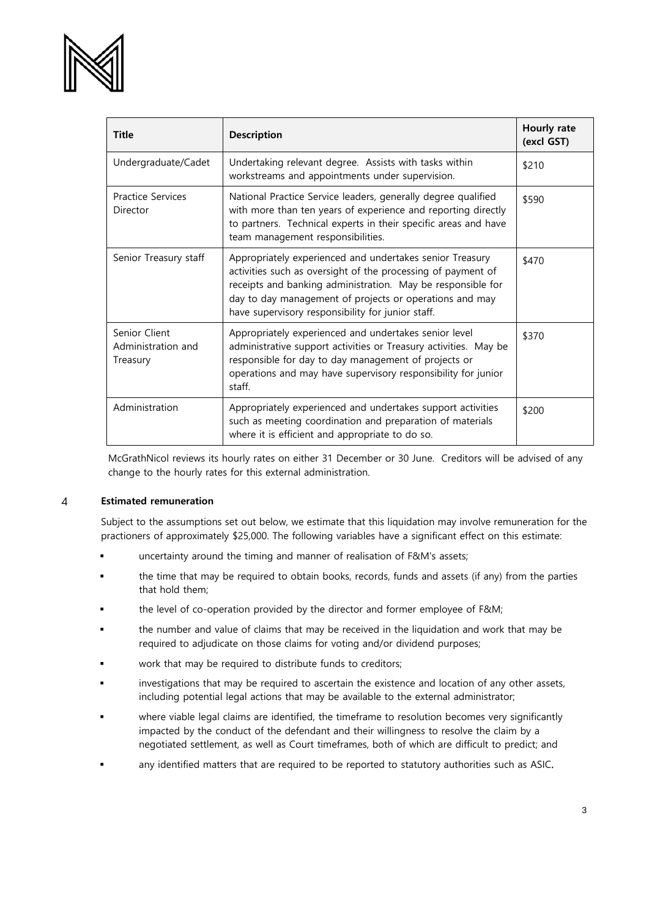

| <b>Title</b>                                    | <b>Description</b>                                                                                                                                                                                                                                                                                      | Hourly rate<br>(excl GST) |
|-------------------------------------------------|---------------------------------------------------------------------------------------------------------------------------------------------------------------------------------------------------------------------------------------------------------------------------------------------------------|---------------------------|
| Undergraduate/Cadet                             | Undertaking relevant degree. Assists with tasks within<br>workstreams and appointments under supervision.                                                                                                                                                                                               | \$210                     |
| <b>Practice Services</b><br>Director            | National Practice Service leaders, generally degree qualified<br>with more than ten years of experience and reporting directly<br>to partners. Technical experts in their specific areas and have<br>team management responsibilities.                                                                  | \$590                     |
| Senior Treasury staff                           | Appropriately experienced and undertakes senior Treasury<br>activities such as oversight of the processing of payment of<br>receipts and banking administration. May be responsible for<br>day to day management of projects or operations and may<br>have supervisory responsibility for junior staff. | \$470                     |
| Senior Client<br>Administration and<br>Treasury | Appropriately experienced and undertakes senior level<br>administrative support activities or Treasury activities. May be<br>responsible for day to day management of projects or<br>operations and may have supervisory responsibility for junior<br>staff.                                            | \$370                     |
| Administration                                  | Appropriately experienced and undertakes support activities<br>such as meeting coordination and preparation of materials<br>where it is efficient and appropriate to do so.                                                                                                                             | \$200                     |

McGrathNicol reviews its hourly rates on either 31 December or 30 June. Creditors will be advised of any change to the hourly rates for this external administration.

#### **Estimated remuneration**  $\overline{4}$

Subject to the assumptions set out below, we estimate that this liquidation may involve remuneration for the practioners of approximately \$25,000. The following variables have a significant effect on this estimate:

- uncertainty around the timing and manner of realisation of F&M's assets;
- the time that may be required to obtain books, records, funds and assets (if any) from the parties that hold them;
- the level of co-operation provided by the director and former employee of F&M;
- the number and value of claims that may be received in the liquidation and work that may be required to adjudicate on those claims for voting and/or dividend purposes;
- work that may be required to distribute funds to creditors;
- investigations that may be required to ascertain the existence and location of any other assets, including potential legal actions that may be available to the external administrator;
- where viable legal claims are identified, the timeframe to resolution becomes very significantly impacted by the conduct of the defendant and their willingness to resolve the claim by a negotiated settlement, as well as Court timeframes, both of which are difficult to predict; and
- any identified matters that are required to be reported to statutory authorities such as ASIC.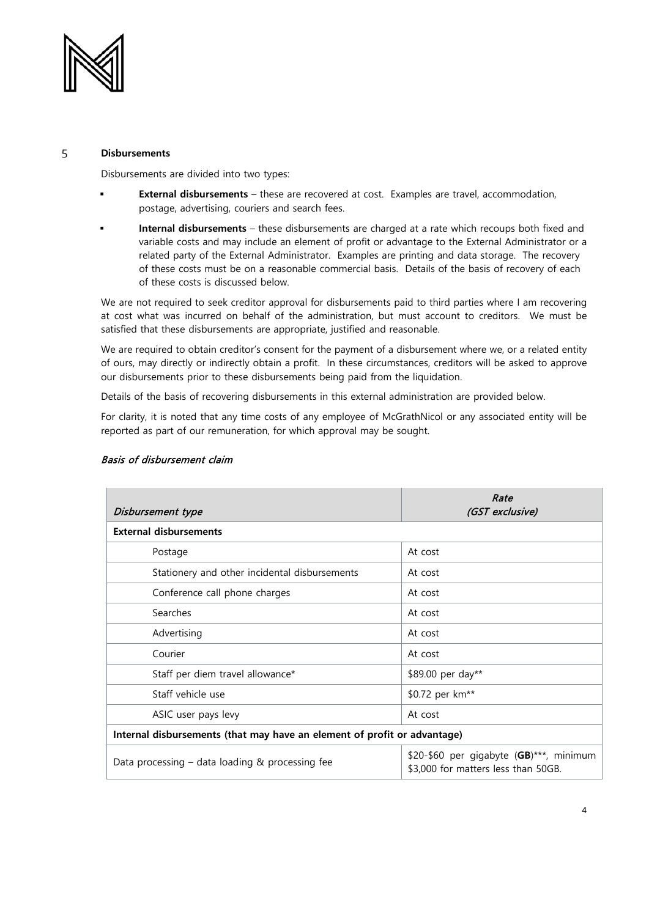

#### 5 **Disbursements**

Disbursements are divided into two types:

- **External disbursements** these are recovered at cost. Examples are travel, accommodation, postage, advertising, couriers and search fees.
- **Internal disbursements** these disbursements are charged at a rate which recoups both fixed and variable costs and may include an element of profit or advantage to the External Administrator or a related party of the External Administrator. Examples are printing and data storage. The recovery of these costs must be on a reasonable commercial basis. Details of the basis of recovery of each of these costs is discussed below.

We are not required to seek creditor approval for disbursements paid to third parties where I am recovering at cost what was incurred on behalf of the administration, but must account to creditors. We must be satisfied that these disbursements are appropriate, justified and reasonable.

We are required to obtain creditor's consent for the payment of a disbursement where we, or a related entity of ours, may directly or indirectly obtain a profit. In these circumstances, creditors will be asked to approve our disbursements prior to these disbursements being paid from the liquidation.

Details of the basis of recovering disbursements in this external administration are provided below.

For clarity, it is noted that any time costs of any employee of McGrathNicol or any associated entity will be reported as part of our remuneration, for which approval may be sought.

| Disbursement type                                                        | Rate<br>(GST exclusive)                                                        |  |  |
|--------------------------------------------------------------------------|--------------------------------------------------------------------------------|--|--|
| <b>External disbursements</b>                                            |                                                                                |  |  |
| Postage                                                                  | At cost                                                                        |  |  |
| Stationery and other incidental disbursements                            | At cost                                                                        |  |  |
| Conference call phone charges                                            | At cost                                                                        |  |  |
| Searches                                                                 | At cost                                                                        |  |  |
| Advertising                                                              | At cost                                                                        |  |  |
| Courier                                                                  | At cost                                                                        |  |  |
| Staff per diem travel allowance*                                         | \$89.00 per day**                                                              |  |  |
| Staff vehicle use                                                        | \$0.72 per km <sup>**</sup>                                                    |  |  |
| ASIC user pays levy                                                      | At cost                                                                        |  |  |
| Internal disbursements (that may have an element of profit or advantage) |                                                                                |  |  |
| Data processing $-$ data loading & processing fee                        | \$20-\$60 per gigabyte (GB)***, minimum<br>\$3,000 for matters less than 50GB. |  |  |

### Basis of disbursement claim